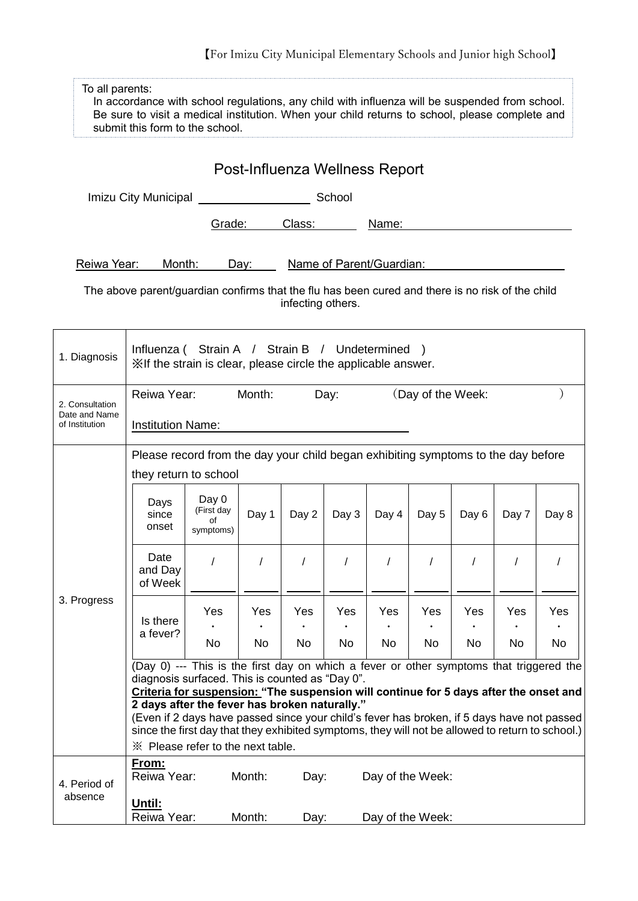【For Imizu City Municipal Elementary Schools and Junior high School】

| To all parents:<br>In accordance with school regulations, any child with influenza will be suspended from school.<br>Be sure to visit a medical institution. When your child returns to school, please complete and<br>submit this form to the school. |                                                                                                                                                                                                                                                                                                                                                                                                                                                                                                                             |                                        |           |           |           |                  |           |           |           |           |  |
|--------------------------------------------------------------------------------------------------------------------------------------------------------------------------------------------------------------------------------------------------------|-----------------------------------------------------------------------------------------------------------------------------------------------------------------------------------------------------------------------------------------------------------------------------------------------------------------------------------------------------------------------------------------------------------------------------------------------------------------------------------------------------------------------------|----------------------------------------|-----------|-----------|-----------|------------------|-----------|-----------|-----------|-----------|--|
| Post-Influenza Wellness Report                                                                                                                                                                                                                         |                                                                                                                                                                                                                                                                                                                                                                                                                                                                                                                             |                                        |           |           |           |                  |           |           |           |           |  |
|                                                                                                                                                                                                                                                        |                                                                                                                                                                                                                                                                                                                                                                                                                                                                                                                             |                                        |           |           |           |                  |           |           |           |           |  |
|                                                                                                                                                                                                                                                        |                                                                                                                                                                                                                                                                                                                                                                                                                                                                                                                             |                                        | Grade:    | Class:    | Name:     |                  |           |           |           |           |  |
| Reiwa Year:<br>Month:<br>Name of Parent/Guardian:<br>Day:                                                                                                                                                                                              |                                                                                                                                                                                                                                                                                                                                                                                                                                                                                                                             |                                        |           |           |           |                  |           |           |           |           |  |
| The above parent/guardian confirms that the flu has been cured and there is no risk of the child<br>infecting others.                                                                                                                                  |                                                                                                                                                                                                                                                                                                                                                                                                                                                                                                                             |                                        |           |           |           |                  |           |           |           |           |  |
| 1. Diagnosis                                                                                                                                                                                                                                           | Influenza (Strain A / Strain B / Undetermined )<br>XIf the strain is clear, please circle the applicable answer.                                                                                                                                                                                                                                                                                                                                                                                                            |                                        |           |           |           |                  |           |           |           |           |  |
| 2. Consultation<br>Date and Name<br>of Institution                                                                                                                                                                                                     | Reiwa Year:<br>Month:<br>(Day of the Week:<br>Day:<br><b>Institution Name:</b>                                                                                                                                                                                                                                                                                                                                                                                                                                              |                                        |           |           |           |                  |           |           |           |           |  |
| 3. Progress                                                                                                                                                                                                                                            | Please record from the day your child began exhibiting symptoms to the day before<br>they return to school                                                                                                                                                                                                                                                                                                                                                                                                                  |                                        |           |           |           |                  |           |           |           |           |  |
|                                                                                                                                                                                                                                                        | Days<br>since<br>onset                                                                                                                                                                                                                                                                                                                                                                                                                                                                                                      | Day 0<br>(First day<br>οf<br>symptoms) | Day 1     | Day 2     | Day 3     | Day 4            | Day 5     | Day 6     | Day 7     | Day 8     |  |
|                                                                                                                                                                                                                                                        | Date<br>and Day<br>of Week                                                                                                                                                                                                                                                                                                                                                                                                                                                                                                  | $\prime$                               | $\prime$  | $\prime$  | $\prime$  | $\prime$         |           |           |           |           |  |
|                                                                                                                                                                                                                                                        | Is there<br>a fever?                                                                                                                                                                                                                                                                                                                                                                                                                                                                                                        | Yes<br>No                              | Yes<br>No | Yes<br>No | Yes<br>No | Yes<br>No        | Yes<br>No | Yes<br>No | Yes<br>No | Yes<br>No |  |
|                                                                                                                                                                                                                                                        | (Day 0) --- This is the first day on which a fever or other symptoms that triggered the<br>diagnosis surfaced. This is counted as "Day 0".<br>Criteria for suspension: "The suspension will continue for 5 days after the onset and<br>2 days after the fever has broken naturally."<br>(Even if 2 days have passed since your child's fever has broken, if 5 days have not passed<br>since the first day that they exhibited symptoms, they will not be allowed to return to school.)<br>* Please refer to the next table. |                                        |           |           |           |                  |           |           |           |           |  |
| 4. Period of<br>absence                                                                                                                                                                                                                                | <u>From:</u><br>Reiwa Year:                                                                                                                                                                                                                                                                                                                                                                                                                                                                                                 |                                        | Month:    | Day:      |           | Day of the Week: |           |           |           |           |  |
|                                                                                                                                                                                                                                                        | <u>Until:</u><br>Reiwa Year:<br>Month:<br>Day of the Week:<br>Day:                                                                                                                                                                                                                                                                                                                                                                                                                                                          |                                        |           |           |           |                  |           |           |           |           |  |